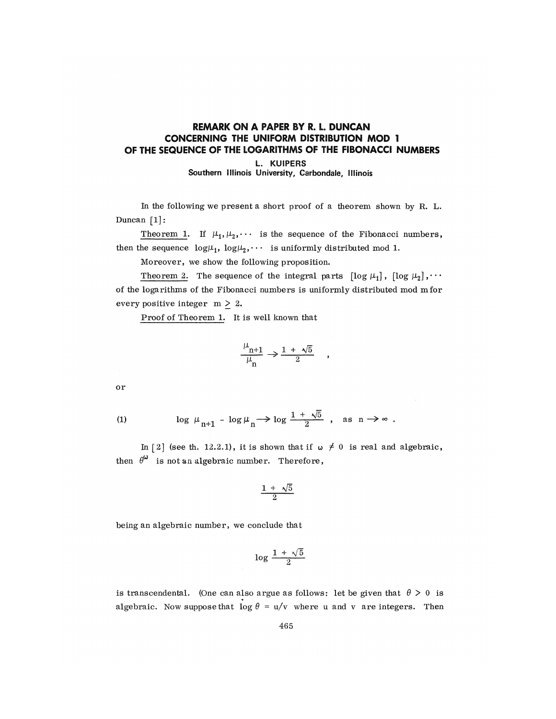## REMARK ON A PAPER BY R. L. DUNCAN CONCERNING THE UNIFORM DISTRIBUTION MOD 1 OF THE SEQUENCE OF THE LOGARITHMS OF THE FIBONACCI NUMBERS

L. KUIPERS

Southern Illinois University, Carbondale, Illinois

In the following we present a short proof of a theorem shown by H. L. Duncan [1]:

Theorem 1. If  $\mu_1, \mu_2, \cdots$  is the sequence of the Fibonacci numbers, then the sequence  $log\mu_1$ ,  $log\mu_2$ ,  $\cdots$  is uniformly distributed mod 1.

Moreover, we show the following proposition.

Theorem 2. The sequence of the integral parts  $[\log \mu_1]$ ,  $[\log \mu_2]$ ,  $\cdots$ of the logarithms of the Fibonacci numbers is uniformly distributed mod mfor every positive integer  $m \geq 2$ .

Proof of Theorem 1. It is well known that

$$
\frac{\mu_{n+1}}{\mu_n} \to \frac{1 + \sqrt{5}}{2}
$$

or

$$
(1) \hspace{1cm} \log\ \mu_{n+1} \ -\ \log \mu_n \longrightarrow \log\frac{1\ +\ \sqrt{5}}{2} \ , \quad \text{as}\ \ n\to\infty \ .
$$

In  $\lceil 2 \rceil$  (see th. 12.2.1), it is shown that if  $\omega \neq 0$  is real and algebraic, then  $\theta^{\omega}$  is not an algebraic number. Therefore,

$$
\frac{1 + \sqrt{5}}{2}
$$

being an algebraic number, we conclude that

$$
\log \frac{1 + \sqrt{5}}{2}
$$

is transcendental. (One can also argue as follows: let be given that  $\theta > 0$  is algebraic. Now suppose that  $\log \theta = u/v$  where u and v are integers. Then